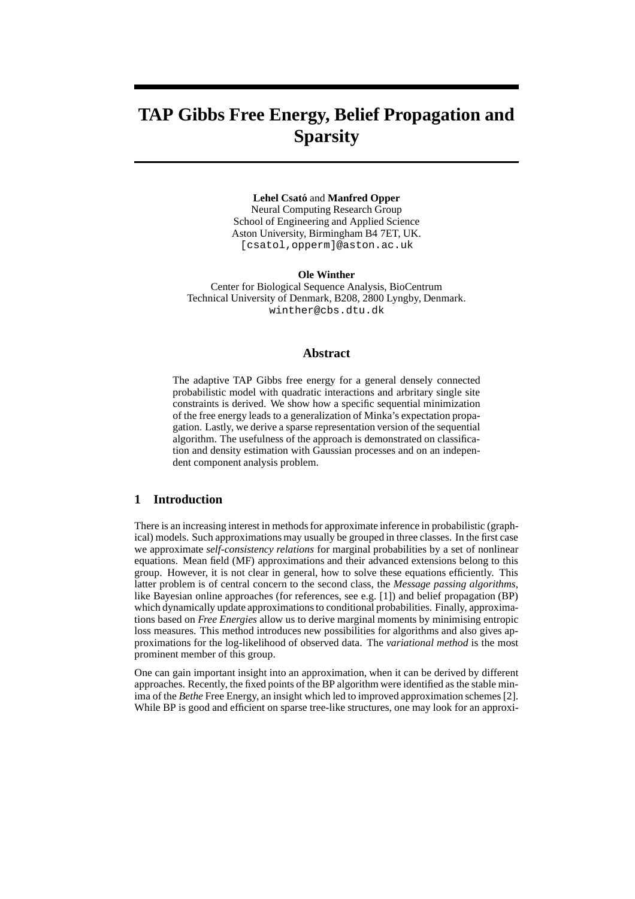# **TAP Gibbs Free Energy, Belief Propagation and Sparsity**

**Lehel Csato´** and **Manfred Opper** Neural Computing Research Group School of Engineering and Applied Science Aston University, Birmingham B4 7ET, UK. [csatol,opperm]@aston.ac.uk

**Ole Winther** Center for Biological Sequence Analysis, BioCentrum Technical University of Denmark, B208, 2800 Lyngby, Denmark. winther@cbs.dtu.dk

## **Abstract**

The adaptive TAP Gibbs free energy for a general densely connected probabilistic model with quadratic interactions and arbritary single site constraints is derived. We show how a specific sequential minimization of the free energy leads to a generalization of Minka's expectation propagation. Lastly, we derive a sparse representation version of the sequential algorithm. The usefulness of the approach is demonstrated on classification and density estimation with Gaussian processes and on an independent component analysis problem.

## **1 Introduction**

There is an increasing interest in methods for approximate inference in probabilistic (graphical) models. Such approximations may usually be grouped in three classes. In the first case we approximate *self-consistency relations* for marginal probabilities by a set of nonlinear equations. Mean field (MF) approximations and their advanced extensions belong to this group. However, it is not clear in general, how to solve these equations efficiently. This latter problem is of central concern to the second class, the *Message passing algorithms*, like Bayesian online approaches (for references, see e.g. [1]) and belief propagation (BP) which dynamically update approximations to conditional probabilities. Finally, approximations based on *Free Energies* allow us to derive marginal moments by minimising entropic loss measures. This method introduces new possibilities for algorithms and also gives approximations for the log-likelihood of observed data. The *variational method* is the most prominent member of this group.

One can gain important insight into an approximation, when it can be derived by different approaches. Recently, the fixed points of the BP algorithm were identified as the stable minima of the *Bethe* Free Energy, an insight which led to improved approximation schemes [2]. While BP is good and efficient on sparse tree-like structures, one may look for an approxi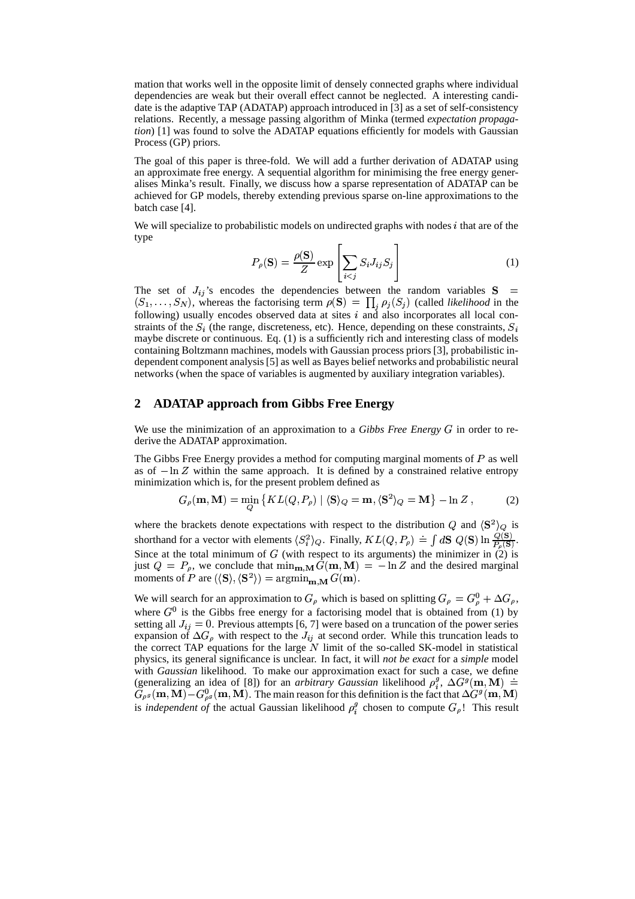mation that works well in the opposite limit of densely connected graphs where individual dependencies are weak but their overall effect cannot be neglected. A interesting candidate is the adaptive TAP (ADATAP) approach introduced in [3] as a set of self-consistency relations. Recently, a message passing algorithm of Minka (termed *expectation propagation*) [1] was found to solve the ADATAP equations efficiently for models with Gaussian Process (GP) priors.

The goal of this paper is three-fold. We will add a further derivation of ADATAP using an approximate free energy. A sequential algorithm for minimising the free energy generalises Minka's result. Finally, we discuss how a sparse representation of ADATAP can be achieved for GP models, thereby extending previous sparse on-line approximations to the batch case [4].

We will specialize to probabilistic models on undirected graphs with nodes  $i$  that are of the type

$$
P_{\rho}(\mathbf{S}) = \frac{\rho(\mathbf{S})}{Z} \exp\left[\sum_{i < j} S_i J_{ij} S_j\right] \tag{1}
$$

The set of  $J_{ij}$ 's encodes the dependencies between the random variables  $S =$  $(S_1, \ldots, S_N)$ , whereas the factorising term  $\rho(S) = \prod_j \rho_j(S_j)$  (called *likelihood* in the following) usually encodes observed data at sites  $i$  and also incorporates all local constraints of the  $S_i$  (the range, discreteness, etc). Hence, depending on these constraints, maybe discrete or continuous. Eq. (1) is a sufficiently rich and interesting class of models  $\mathbf{r}$  and  $\mathbf{r}$ containing Boltzmann machines, models with Gaussian process priors [3], probabilistic independent component analysis [5] as well as Bayes belief networks and probabilistic neural networks (when the space of variables is augmented by auxiliary integration variables).

## **2 ADATAP approach from Gibbs Free Energy**

We use the minimization of an approximation to a *Gibbs Free Energy*  $G$  in order to rederive the ADATAP approximation.

The Gibbs Free Energy provides a method for computing marginal moments of  $P$  as well as of  $-\ln Z$  within the same approach. It is defined by a constrained relative entropy minimization which is, for the present problem defined as

$$
G_{\rho}(\mathbf{m}, \mathbf{M}) = \min_{Q} \left\{ KL(Q, P_{\rho}) \mid \langle \mathbf{S} \rangle_{Q} = \mathbf{m}, \langle \mathbf{S}^{2} \rangle_{Q} = \mathbf{M} \right\} - \ln Z, \quad (2)
$$

where the brackets denote expectations with respect to the distribution Q and  $\langle S^2 \rangle_Q$  is shorthand for a vector with elements  $\langle S_i^2 \rangle_Q$ . Finally,  $KL(Q, P_\rho) = \int dS \ Q(S) \ln \frac{Q(S)}{P_\rho(S)}$ . Since at the total minimum of  $G$  (with respect to its arguments) the minimizer in  $(2)$  is just  $Q = P_\rho$ , we conclude that  $\min_{\mathbf{m},\mathbf{M}} G(\mathbf{m},\mathbf{M}) = -\ln Z$  and the desired marginal moments of P are  $(\langle S \rangle, \langle S^2 \rangle) = \operatorname{argmin}_{\mathbf{m}, \mathbf{M}} G(\mathbf{m}).$ 

We will search for an approximation to  $G_{\rho}$  which is based on splitting  $G_{\rho} = G_{\rho}^0 + \Delta G_{\rho}$ , where  $G^0$  is the Gibbs free energy for a factorising model that is obtained from (1) by setting all  $J_{ij} = 0$ . Previous attempts [6, 7] were based on a truncation of the power series expansion of  $\Delta G_{\rho}$  with respect to the  $J_{ij}$  at second order. While this truncation leads to the correct TAP equations for the large  $\tilde{N}$  limit of the so-called SK-model in statistical physics, its general significance is unclear. In fact, it will *not be exact* for a *simple* model with *Gaussian* likelihood. To make our approximation exact for such a case, we define (generalizing an idea of [8]) for an *arbitrary Gaussian* likelihood  $\rho_i^g$ ,  $\Delta G^g(\mathbf{m}, \mathbf{M}) =$ <br> $G_{\mathbf{m}}(\mathbf{m}, \mathbf{M})$ ,  $G^0$  (m. M). The main gauge for this definition is the feat that  $\Delta G^g(\mathbf{m}, \mathbf{M})$ .  $G_{\rho^g}(\mathbf{m}, \mathbf{M}) - G_{\rho^g}^0(\mathbf{m}, \mathbf{M})$ . The main reason for this definition is the fact that  $\Delta G^g(\mathbf{m}, \mathbf{M})$ is *independent of* the actual Gaussian likelihood  $\rho_i^y$  chosen to compute  $G_\rho$ ! This result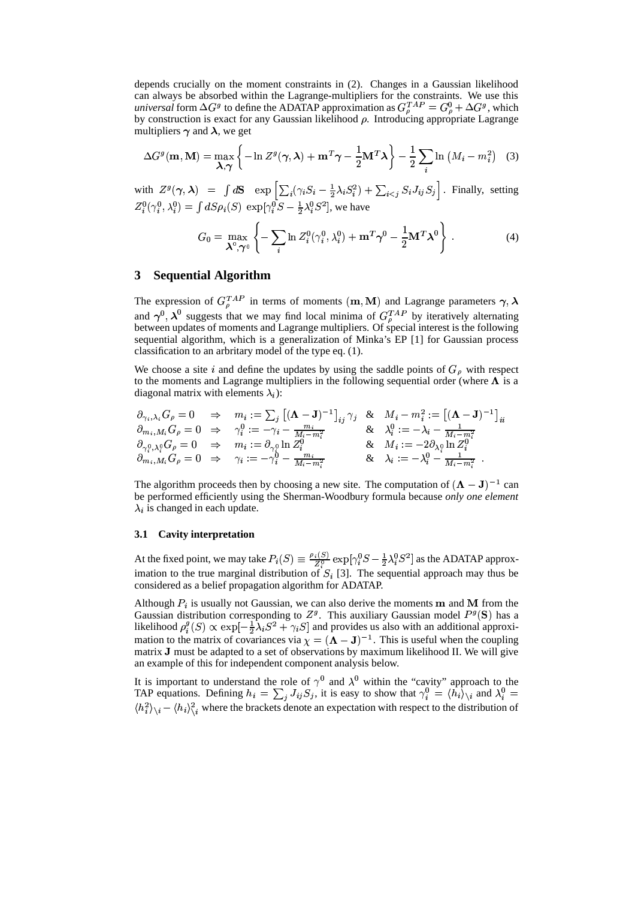depends crucially on the moment constraints in (2). Changes in a Gaussian likelihood can always be absorbed within the Lagrange-multipliers for the constraints. We use this *universal* form  $\Delta G^g$  to define the ADATAP approximation as  $G^{TAP}_o = G^0_o + \Delta G^g$ , which by construction is exact for any Gaussian likelihood  $\rho$ . Introducing appropriate Lagrange multipliers  $\gamma$  and  $\lambda$ , we get

$$
\Delta G^{g}(\mathbf{m}, \mathbf{M}) = \max_{\mathbf{\lambda}, \boldsymbol{\gamma}} \left\{ -\ln Z^{g}(\boldsymbol{\gamma}, \boldsymbol{\lambda}) + \mathbf{m}^{T} \boldsymbol{\gamma} - \frac{1}{2} \mathbf{M}^{T} \boldsymbol{\lambda} \right\} - \frac{1}{2} \sum_{i} \ln \left( M_{i} - m_{i}^{2} \right) \quad (3)
$$

with  $Z^g(\boldsymbol{\gamma},\boldsymbol{\lambda})\;\;=\;\; \int d{\bf S}\;\;\; \exp\left[\sum_i(\gamma_i S_i-\right.$  $\lambda_i-\frac{1}{2}\lambda_i S_i^2)+\sum$  $S_i$  +  $\sum$   $S_i$   $J_i$   $S_i$  !v with  $Z^g(\gamma, \lambda) = \int dS \exp \left[ \sum_i (\gamma_i S_i - \frac{1}{2} \lambda_i S_i^2) + \sum_{i < j} S_i J_{ij} S_j \right]$ . Finally, setting  $Z_i^0(\gamma_i^0, \lambda_i^0) = \int dS \rho_i(S) \exp[\gamma_i^0 S - \frac{1}{2} \lambda_i^0 S^2]$ , we have

$$
G_0 = \max_{\boldsymbol{\lambda}^0, \boldsymbol{\gamma}^0} \left\{ -\sum_i \ln Z_i^0(\gamma_i^0, \lambda_i^0) + \mathbf{m}^T \boldsymbol{\gamma}^0 - \frac{1}{2} \mathbf{M}^T \boldsymbol{\lambda}^0 \right\} .
$$
 (4)

## **3 Sequential Algorithm**

The expression of  $G_{\rho}^{TAP}$  in terms of moments  $(\mathbf{m}, \mathbf{M})$  and Lagrange parameters  $\gamma, \lambda$ and  $\gamma^0$ ,  $\lambda^0$  suggests that we may find local minima of  $G_{\rho}^{TAP}$  by iteratively alternating<br>and  $\gamma^0$ ,  $\lambda^0$  suggests that we may find local minima of  $G_{\rho}^{TAP}$  by iteratively alternating between updates of moments and Lagrange multipliers. Of special interest is the following sequential algorithm, which is a generalization of Minka's EP [1] for Gaussian process classification to an arbritary model of the type eq. (1).

We choose a site i and define the updates by using the saddle points of  $G_{\rho}$  with respect to the moments and Lagrange multipliers in the following sequential order (where  $\Lambda$  is a diagonal matrix with elements  $\lambda_i$ ):

$$
\begin{array}{lllllllll} \partial_{\gamma_i,\lambda_i} G_\rho = 0 & \Rightarrow & m_i := \sum_j \left[ (\mathbf{\Lambda} - \mathbf{J})^{-1} \right]_{ij} \gamma_j & \& & M_i - m_i^2 := \left[ (\mathbf{\Lambda} - \mathbf{J})^{-1} \right]_{ii} \\ \partial_{m_i, M_i} G_\rho = 0 & \Rightarrow & \gamma_i^0 := -\gamma_i - \frac{m_i}{M_i - m_i^2} & \& & \lambda_i^0 := -\lambda_i - \frac{1}{M_i - m_i^2} \\ \partial_{\gamma_i^0,\lambda_i^0} G_\rho = 0 & \Rightarrow & m_i := \partial_{\gamma_i^0} \ln Z_i^0 & & \& & M_i := -2\partial_{\lambda_i^0} \ln Z_i^0 \\ \partial_{m_i, M_i} G_\rho = 0 & \Rightarrow & \gamma_i := -\gamma_i^0 - \frac{m_i}{M_i - m_i^2} & & \& & \lambda_i := -\lambda_i^0 - \frac{1}{M_i - m_i^2} \end{array}.
$$

The algorithm proceeds then by choosing a new site. The computation of  $(A - J)^{-1}$  can be performed efficiently using the Sherman-Woodbury formula because *only one element*  $\lambda_i$  is changed in each update.

#### **3.1 Cavity interpretation**

At the fixed point, we may take  $P_i(S) \equiv \frac{\rho_i(S)}{Z_i^0} \exp[\gamma_i^0 S]$  $\frac{B_i(S)}{Z_i^0}$  exp $[\gamma_i^0 S - \frac{1}{2} \lambda_i^0 S^2]$  as the ADATAP approximation to the true marginal distribution of  $S_i$  [3]. The sequential approach may thus be considered as a belief propagation algorithm for ADATAP.

Although  $P_i$  is usually not Gaussian, we can also derive the moments **m** and **M** from the Caussian distribution corresponding to  $Z_i^q$ . This availance Caussian model,  $P_i^q(S)$  has a Gaussian distribution corresponding to  $Z^g$ . This auxiliary Gaussian model  $P^g(S)$  has a likelihood  $\rho_i^g(S) \propto \exp[-\frac{1}{2}\lambda_i S^2 + \gamma_i S]$  and provides us also with an additional approximation to the matrix of covariances via  $\chi = (\Lambda - J)^{-1}$ . This is useful when the coupling matrix <sup>2</sup> must be adapted to a set of observations by maximum likelihood II. We will give an example of this for independent component analysis below.

It is important to understand the role of  $\gamma^0$  and  $\lambda^0$  within the "cavity" approach to the TAP equations. Defining  $h_i = \sum_i J_{ij} S_j$ , it is easy to show that  $\gamma_i^0 = \langle h_i \rangle_{\setminus i}$  and  $\lambda_i^0 = \langle h_i \rangle_{\setminus i}$  $\langle h_i^2 \rangle_{\setminus i} - \langle h_i \rangle_{\setminus i}^2$  where the brackets denote an expectation with respect to the distribution of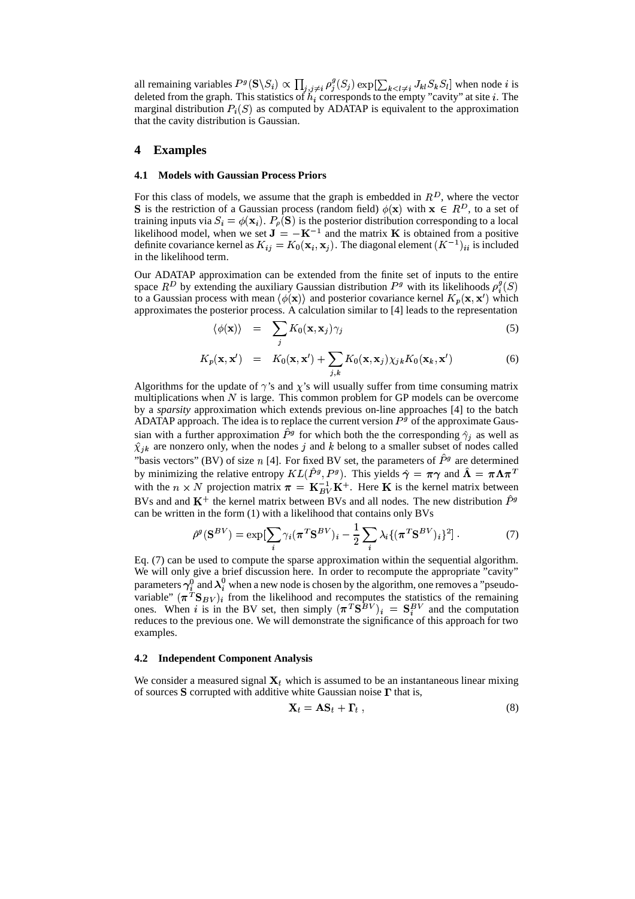all remaining variables  $P^g(S \setminus S_i) \propto \prod_{j,j \neq i} \rho_j^g(S_j) \exp[\sum_{k < l \neq i} J_{kl} S_k S_l]$  when no  $\iota$  when node *i* is deleted from the graph. This statistics of  $h_i$  corresponds to the empty "cavity" at site i. The marginal distribution  $P_i(S)$  as computed by ADATAP is equivalent to the approximation<br>that the equity distribution is Coussian that the cavity distribution is Gaussian.

## **4 Examples**

#### **4.1 Models with Gaussian Process Priors**

For this class of models, we assume that the graph is embedded in  $R<sup>D</sup>$ , where the vector **S** is the restriction of a Gaussian process (random field)  $\phi(\mathbf{x})$  with  $\mathbf{x} \in R^D$ , to a set of training inputs via  $S_i = \phi(\mathbf{x}_i)$ .  $P_o(\mathbf{S})$  is the posterior distribution corresponding to a local likelihood model, when we set  $J = -K^{-1}$  and the matrix K is obtained from a positive definite covariance kernel as  $K_{ij} = K_0(\mathbf{x}_i, \mathbf{x}_j)$ . T Do  $({\bf x}_i, {\bf x}_j)$ . The diagonal element  $(K^{-1})_{ii}$  is included  $\mathcal{C}_{ii}$  is included in the likelihood term.

Our ADATAP approximation can be extended from the finite set of inputs to the entire space  $R^D$  by extending the auxiliary Gaussian distribution  $P^g$  with its likelihoods  $\rho_i^g(S)$ <br>to a Gaussian presente with mean  $\lambda(x)$  and posterior equations logical  $K$  (in rul) which to a Gaussian process with mean  $\langle \phi(\mathbf{x}) \rangle$  and posterior covariance kernel  $K_p(\mathbf{x}, \mathbf{x}')$  which approximates the posterior process. A calculation similar to [4] leads to the representation

$$
\langle \phi(\mathbf{x}) \rangle = \sum_{j} K_0(\mathbf{x}, \mathbf{x}_j) \gamma_j \tag{5}
$$

$$
K_p(\mathbf{x}, \mathbf{x}') = K_0(\mathbf{x}, \mathbf{x}') + \sum_{j,k} K_0(\mathbf{x}, \mathbf{x}_j) \chi_{jk} K_0(\mathbf{x}_k, \mathbf{x}') \tag{6}
$$

Algorithms for the update of  $\gamma$ 's and  $\chi$ 's will usually suffer from time consuming matrix multiplications when  $N$  is large. This common problem for GP models can be overcome by a *sparsity* approximation which extends previous on-line approaches [4] to the batch ADATAP approach. The idea is to replace the current version  $P<sup>g</sup>$  of the approximate Gaussian with a further approximation  $P^g$  for which both the the corresponding  $\hat{\gamma}_i$  as well as  $\hat{\chi}_{ik}$  are nonzero only, when the nodes j and k belong to a smaller subset of nodes called "basis vectors" (BV) of size *n* [4]. For fixed BV set, the parameters of  $\ddot{P}^g$  are determined by minimizing the relative entropy  $KL(P^g, P^g)$ . This yields  $\hat{\gamma} = \pi \gamma$  and  $\Lambda = \pi \Lambda \pi^T$ with the  $n \times N$  projection matrix  $\pi = \mathbf{K}_{RV}^{-1} \mathbf{K}^{+}$ . Here **K** is the kernel matrix between BVs and and  $\mathbf{K}^+$  the kernel matrix between BVs and all nodes. The new distribution  $\hat{P}^g$ can be written in the form (1) with a likelihood that contains only BVs<br>  $\hat{\rho}^g(S^{BV}) = \exp[\sum \gamma_i (\pi^T S^{BV})_i - \frac{1}{N} \sum \lambda_i \{(\pi^T S^{BV})_i\}]$ 

$$
\hat{\rho}^g(\mathbf{S}^{BV}) = \exp[\sum_i \gamma_i (\boldsymbol{\pi}^T \mathbf{S}^{BV})_i - \frac{1}{2} \sum_i \lambda_i \{ (\boldsymbol{\pi}^T \mathbf{S}^{BV})_i \}^2].
$$
\n(7)

Eq. (7) can be used to compute the sparse approximation within the sequential algorithm. We will only give a brief discussion here. In order to recompute the appropriate "cavity" parameters  $\gamma_i^0$  and  $\lambda_i^0$  when a new node is chosen by the algorithm, one removes a "pseudovariable"  $(\pi^T S_{BV})_i$  from the likelihood and recomputes the statistics of the remaining ones. When i is in the BV set, then simply  $(\pi^T S^{BV})_i = S_i^{BV}$  and the computation reduces to the previous one. We will demonstrate the significance of this approach for two examples.

#### **4.2 Independent Component Analysis**

We consider a measured signal  $X_t$ , which is assumed to be an instantaneous linear mixing of sources S corrupted with additive white Gaussian noise  $\Gamma$  that is,

$$
\mathbf{X}_t = \mathbf{A}\mathbf{S}_t + \mathbf{\Gamma}_t \,, \tag{8}
$$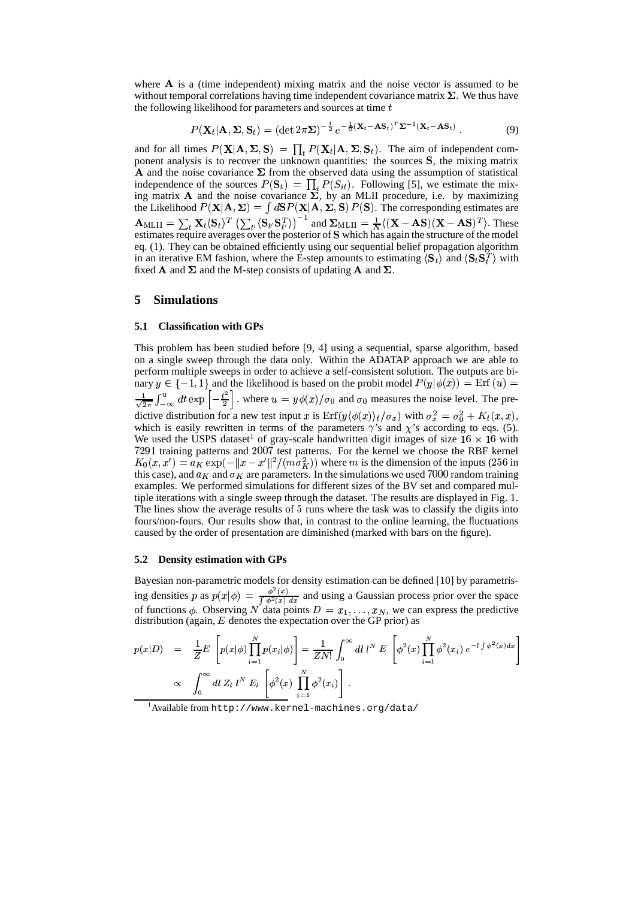where  $A$  is a (time independent) mixing matrix and the noise vector is assumed to be without temporal correlations having time independent covariance matrix  $\Sigma$ . We thus have the following likelihood for parameters and sources at time  $t$ 

$$
P(\mathbf{X}_t|\mathbf{A}, \mathbf{\Sigma}, \mathbf{S}_t) = (\det 2\pi \mathbf{\Sigma})^{-\frac{1}{2}} e^{-\frac{1}{2}(\mathbf{X}_t - \mathbf{A}\mathbf{S}_t)^T \mathbf{\Sigma}^{-1}(\mathbf{X}_t - \mathbf{A}\mathbf{S}_t)}.
$$
(9)

and for all times  $P(X|A, \Sigma, S) = \prod_t P(X_t|A, \Sigma, S_t)$ . The aim of independent component analysis is to recover the unknown quantities: the sources  $S$ , the mixing matrix **A** and the noise covariance  $\Sigma$  from the observed data using the assumption of statistical independence of the sources  $P(S_t) = \prod_i P(S_{it})$ . Following [5], we estimate the mixing matrix A and the noise covariance  $\Sigma$ , by an MLII procedure, i.e. by maximizing the Likelihood  $P(\mathbf{X}|\mathbf{A}, \Sigma) = \int d\mathbf{S} P(\mathbf{X}|\mathbf{A}, \Sigma, \mathbf{S}) P(\mathbf{S})$ . The corresponding estimates are  $\mathbf{A}_{\text{MLII}} = \sum_{t} \mathbf{X}_{t} \langle \mathbf{s}_{t} \rangle^{T} \left( \sum_{t'} \langle \mathbf{s}_{t'} \mathbf{s}_{t'}^{T} \rangle \right)^{-1}$  and  $\sum_{\text{MLII}} = \frac{1}{N} \langle (\mathbf{X} - \mathbf{A} \mathbf{s}) (\mathbf{X} - \mathbf{A} \mathbf{s})^{T} \rangle$ . These  $m$  These estimates require averages over the posterior of S which has again the structure of the model eq. (1). They can be obtained efficiently using our sequential belief propagation algorithm in an iterative EM fashion, where the E-step amounts to estimating  $\langle S_t \rangle$  and  $\langle S_t S_t^T \rangle$  with fixed **A** and  $\Sigma$  and the M-step consists of updating **A** and  $\Sigma$ .

## **5 Simulations**

#### **5.1 Classification with GPs**

This problem has been studied before [9, 4] using a sequential, sparse algorithm, based on a single sweep through the data only. Within the ADATAP approach we are able to perform multiple sweeps in order to achieve a self-consistent solution. The outputs are binary  $y \in \{-1, 1\}$  and the likelihood is based on the probit model  $P(y|\phi(x)) = \text{Erf}(u)$  $\frac{1}{\sqrt{2\pi}} \int_{-\infty}^{u} dt \exp \left[-\frac{t^2}{2}\right]$ , where  $u = y\phi(x)/\sigma_0$  and  $\sigma_0$  me dictive distribution for a new test input x is  $\text{Erf}(y\langle \phi(x) \rangle_t / \sigma_x)$  with  $\sigma_x^2 = \sigma_0^2 + K_t(x, x)$ , which is easily rewritten in terms of the parameters  $\gamma$ 's and  $\chi$ 's according to eqs. (5).  $_0$  and  $\sigma_0$  measures the noise level. The pre-We used the USPS dataset<sup>1</sup> of gray-scale handwritten digit images of size  $16 \times 16$  with 7291 training patterns and 2007 test patterns. For the kernel we choose the RBF kernel  $(x, x') = a_K \exp(-\|x - x'\|^2 / (m\sigma_K^2))$  where m is the dimension of the inputs (256 in this case), and  $a_K$  and  $\sigma_K$  are parameters. In the simulations we used 7000 random training examples. We performed simulations for different sizes of the BV set and compared multiple iterations with a single sweep through the dataset. The results are displayed in Fig. 1. The lines show the average results of 5 runs where the task was to classify the digits into fours/non-fours. Our results show that, in contrast to the online learning, the fluctuations caused by the order of presentation are diminished (marked with bars on the figure).

#### **5.2 Density estimation with GPs**

Bayesian non-parametric models for density estimation can be defined [10] by parametrising densities p as  $p(x|\phi) = \frac{\phi^2(x)}{\int \phi^2(x) dx}$  and using a Gaussian process prior over the space of functions  $\phi$ . Observing N data points  $D = x_1, \dots, x_N$ , we can express the predictive<br>distribution (again E donotes the expectation over the GP prior) as distribution (again,  $E$  denotes the expectation over the GP prior) as

$$
p(x|D) = \frac{1}{Z}E\left[p(x|\phi)\prod_{i=1}^{N}p(x_i|\phi)\right] = \frac{1}{ZN!}\int_{0}^{\infty} dl \ l^{N} E\left[\phi^2(x)\prod_{i=1}^{N}\phi^2(x_i) e^{-l\int \phi^2(x)dx}\right]
$$
  
  $\propto \int_{0}^{\infty} dl \ Z_l \ l^{N} E_l\left[\phi^2(x)\prod_{i=1}^{N}\phi^2(x_i)\right].$ 

<sup>1</sup>Available from http://www.kernel-machines.org/data/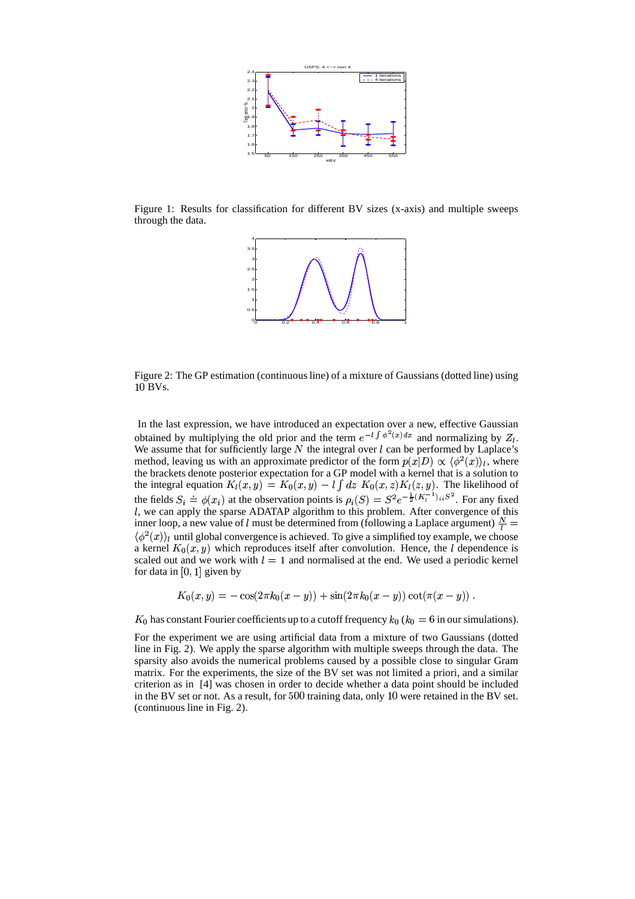

Figure 1: Results for classification for different BV sizes (x-axis) and multiple sweeps through the data.



Figure 2: The GP estimation (continuous line) of a mixture of Gaussians (dotted line) using 10 BVs.

In the last expression, we have introduced an expectation over a new, effective Gaussian obtained by multiplying the old prior and the term  $e^{-l \int \phi^2(x) dx}$  and normalizing by  $Z_l$ . We assume that for sufficiently large  $N$  the integral over  $l$  can be performed by Laplace's method, leaving us with an approximate predictor of the form  $p(x|D) \propto \langle \phi^2(x) \rangle_l$ , where the brackets denote posterior expectation for a GP model with a kernel that is a solution to the integral equation  $K_l(x, y) = K_0(x, y) - l$ Do  $(x,y) - l \int dz \; K_0(x,z)$ Do  $(x, z)K_l(z, y)$ . The likelihood of the fields  $S_i = \phi(x_i)$  at the observation points is  $\rho_i(S) = S^2 e^{-\frac{1}{2}(K_i^{-1})_{ii}S^2}$ . For any fixed , we can apply the sparse ADATAP algorithm to this problem. After convergence of this inner loop, a new value of l must be determined from (following a Laplace argument)  $\frac{N}{l}$  $\langle \phi^2(x)\rangle_l$  until global convergence is achieved. To give a simplified toy example, we choose a kernel  $K_0(x, y)$  which reproduces itself after convolution. Hence, the *l* dependence is scaled out and we work with  $l = 1$  and normalised at the end. We used a periodic kernel for data in  $[0, 1]$  given by

$$
K_0(x,y) = -\cos(2\pi k_0(x-y)) + \sin(2\pi k_0(x-y))\cot(\pi(x-y))\;.
$$

has constant Fourier coefficients up to a cutoff frequency  $k_0$  ( $k_0 = 6$  in our simulations).

For the experiment we are using artificial data from a mixture of two Gaussians (dotted line in Fig. 2). We apply the sparse algorithm with multiple sweeps through the data. The sparsity also avoids the numerical problems caused by a possible close to singular Gram matrix. For the experiments, the size of the BV set was not limited a priori, and a similar criterion as in [4] was chosen in order to decide whether a data point should be included in the BV set or not. As a result, for  $500$  training data, only  $10$  were retained in the BV set. (continuous line in Fig. 2).